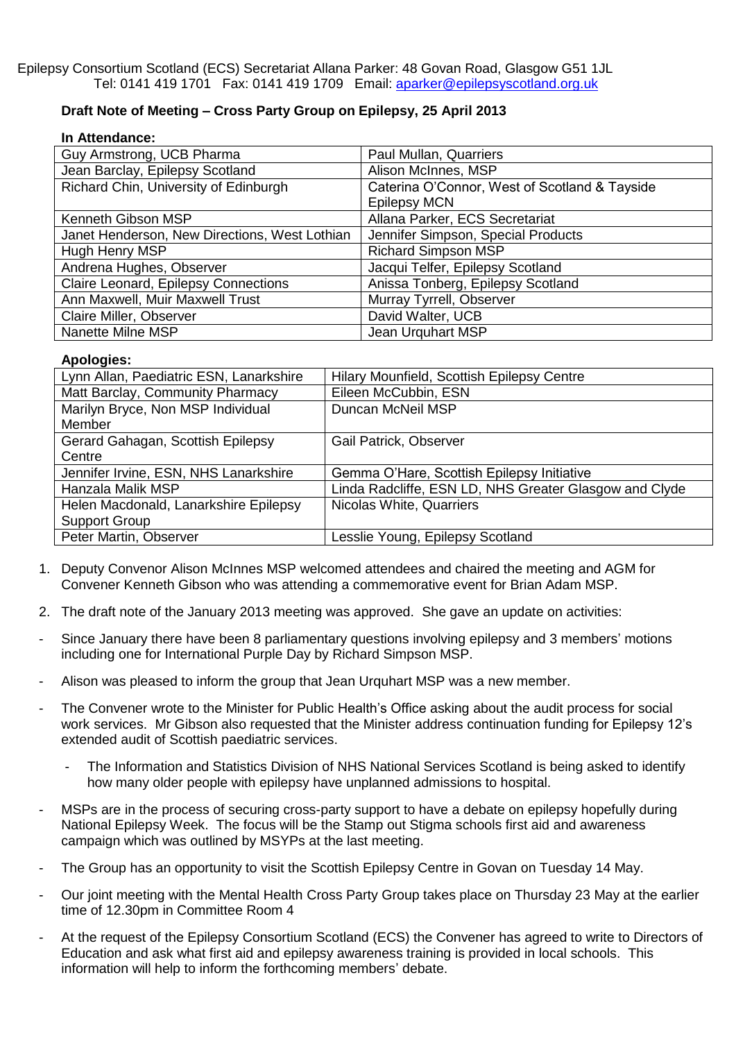Epilepsy Consortium Scotland (ECS) Secretariat Allana Parker: 48 Govan Road, Glasgow G51 1JL Tel: 0141 419 1701 Fax: 0141 419 1709 Email: [aparker@epilepsyscotland.org.uk](mailto:aparker@epilepsyscotland.org.uk)

## **Draft Note of Meeting – Cross Party Group on Epilepsy, 25 April 2013**

| In Attendance: |
|----------------|
|                |

| Guy Armstrong, UCB Pharma                     | Paul Mullan, Quarriers                        |  |
|-----------------------------------------------|-----------------------------------------------|--|
| Jean Barclay, Epilepsy Scotland               | Alison McInnes, MSP                           |  |
| Richard Chin, University of Edinburgh         | Caterina O'Connor, West of Scotland & Tayside |  |
|                                               | <b>Epilepsy MCN</b>                           |  |
| Kenneth Gibson MSP                            | Allana Parker, ECS Secretariat                |  |
| Janet Henderson, New Directions, West Lothian | Jennifer Simpson, Special Products            |  |
| Hugh Henry MSP                                | <b>Richard Simpson MSP</b>                    |  |
| Andrena Hughes, Observer                      | Jacqui Telfer, Epilepsy Scotland              |  |
| Claire Leonard, Epilepsy Connections          | Anissa Tonberg, Epilepsy Scotland             |  |
| Ann Maxwell, Muir Maxwell Trust               | Murray Tyrrell, Observer                      |  |
| Claire Miller, Observer                       | David Walter, UCB                             |  |
| Nanette Milne MSP                             | Jean Urguhart MSP                             |  |

## **Apologies:**

| Hilary Mounfield, Scottish Epilepsy Centre             |
|--------------------------------------------------------|
| Eileen McCubbin, ESN                                   |
| Duncan McNeil MSP                                      |
|                                                        |
| <b>Gail Patrick, Observer</b>                          |
|                                                        |
| Gemma O'Hare, Scottish Epilepsy Initiative             |
| Linda Radcliffe, ESN LD, NHS Greater Glasgow and Clyde |
| Nicolas White, Quarriers                               |
|                                                        |
| Lesslie Young, Epilepsy Scotland                       |
|                                                        |

- 1. Deputy Convenor Alison McInnes MSP welcomed attendees and chaired the meeting and AGM for Convener Kenneth Gibson who was attending a commemorative event for Brian Adam MSP.
- 2. The draft note of the January 2013 meeting was approved. She gave an update on activities:
- Since January there have been 8 parliamentary questions involving epilepsy and 3 members' motions including one for International Purple Day by Richard Simpson MSP.
- Alison was pleased to inform the group that Jean Urquhart MSP was a new member.
- The Convener wrote to the Minister for Public Health's Office asking about the audit process for social work services. Mr Gibson also requested that the Minister address continuation funding for Epilepsy 12's extended audit of Scottish paediatric services.
	- The Information and Statistics Division of NHS National Services Scotland is being asked to identify how many older people with epilepsy have unplanned admissions to hospital.
- MSPs are in the process of securing cross-party support to have a debate on epilepsy hopefully during National Epilepsy Week. The focus will be the Stamp out Stigma schools first aid and awareness campaign which was outlined by MSYPs at the last meeting.
- The Group has an opportunity to visit the Scottish Epilepsy Centre in Govan on Tuesday 14 May.
- Our joint meeting with the Mental Health Cross Party Group takes place on Thursday 23 May at the earlier time of 12.30pm in Committee Room 4
- At the request of the Epilepsy Consortium Scotland (ECS) the Convener has agreed to write to Directors of Education and ask what first aid and epilepsy awareness training is provided in local schools. This information will help to inform the forthcoming members' debate.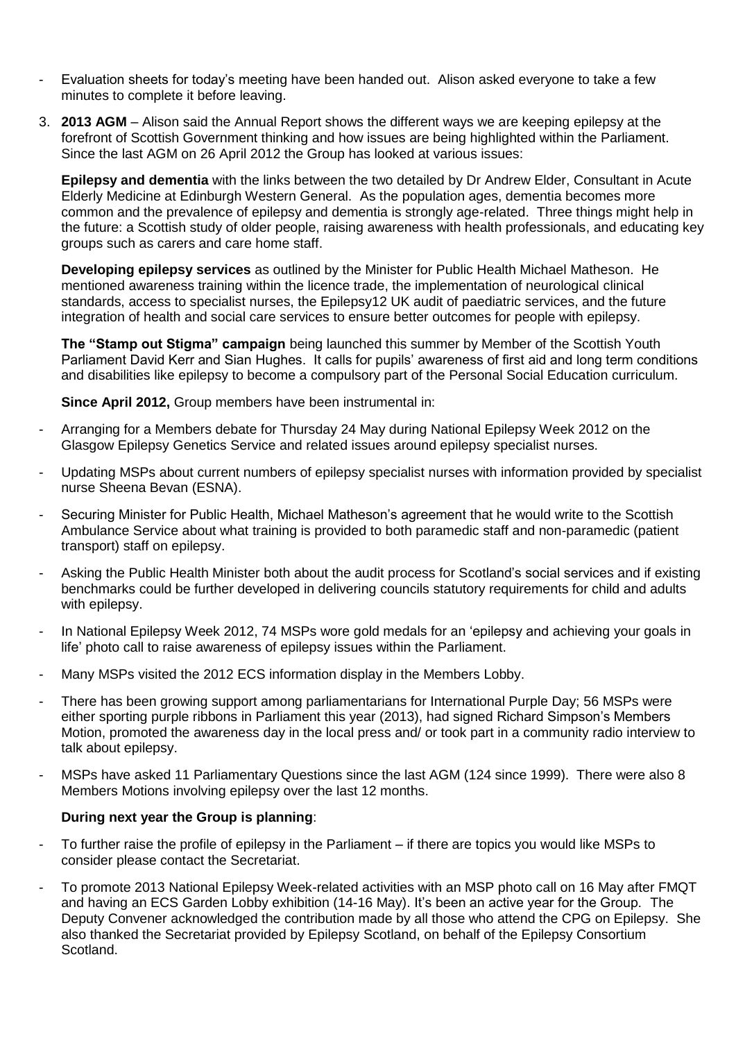- Evaluation sheets for today's meeting have been handed out. Alison asked everyone to take a few minutes to complete it before leaving.
- 3. **2013 AGM** Alison said the Annual Report shows the different ways we are keeping epilepsy at the forefront of Scottish Government thinking and how issues are being highlighted within the Parliament. Since the last AGM on 26 April 2012 the Group has looked at various issues:

**Epilepsy and dementia** with the links between the two detailed by Dr Andrew Elder, Consultant in Acute Elderly Medicine at Edinburgh Western General. As the population ages, dementia becomes more common and the prevalence of epilepsy and dementia is strongly age-related. Three things might help in the future: a Scottish study of older people, raising awareness with health professionals, and educating key groups such as carers and care home staff.

**Developing epilepsy services** as outlined by the Minister for Public Health Michael Matheson. He mentioned awareness training within the licence trade, the implementation of neurological clinical standards, access to specialist nurses, the Epilepsy12 UK audit of paediatric services, and the future integration of health and social care services to ensure better outcomes for people with epilepsy.

**The "Stamp out Stigma" campaign** being launched this summer by Member of the Scottish Youth Parliament David Kerr and Sian Hughes. It calls for pupils' awareness of first aid and long term conditions and disabilities like epilepsy to become a compulsory part of the Personal Social Education curriculum.

**Since April 2012,** Group members have been instrumental in:

- Arranging for a Members debate for Thursday 24 May during National Epilepsy Week 2012 on the Glasgow Epilepsy Genetics Service and related issues around epilepsy specialist nurses.
- Updating MSPs about current numbers of epilepsy specialist nurses with information provided by specialist nurse Sheena Bevan (ESNA).
- Securing Minister for Public Health, Michael Matheson's agreement that he would write to the Scottish Ambulance Service about what training is provided to both paramedic staff and non-paramedic (patient transport) staff on epilepsy.
- Asking the Public Health Minister both about the audit process for Scotland's social services and if existing benchmarks could be further developed in delivering councils statutory requirements for child and adults with epilepsy.
- In National Epilepsy Week 2012, 74 MSPs wore gold medals for an 'epilepsy and achieving your goals in life' photo call to raise awareness of epilepsy issues within the Parliament.
- Many MSPs visited the 2012 ECS information display in the Members Lobby.
- There has been growing support among parliamentarians for International Purple Day; 56 MSPs were either sporting purple ribbons in Parliament this year (2013), had signed Richard Simpson's Members Motion, promoted the awareness day in the local press and/ or took part in a community radio interview to talk about epilepsy.
- MSPs have asked 11 Parliamentary Questions since the last AGM (124 since 1999). There were also 8 Members Motions involving epilepsy over the last 12 months.

## **During next year the Group is planning**:

- To further raise the profile of epilepsy in the Parliament if there are topics you would like MSPs to consider please contact the Secretariat.
- To promote 2013 National Epilepsy Week-related activities with an MSP photo call on 16 May after FMQT and having an ECS Garden Lobby exhibition (14-16 May). It's been an active year for the Group. The Deputy Convener acknowledged the contribution made by all those who attend the CPG on Epilepsy. She also thanked the Secretariat provided by Epilepsy Scotland, on behalf of the Epilepsy Consortium Scotland.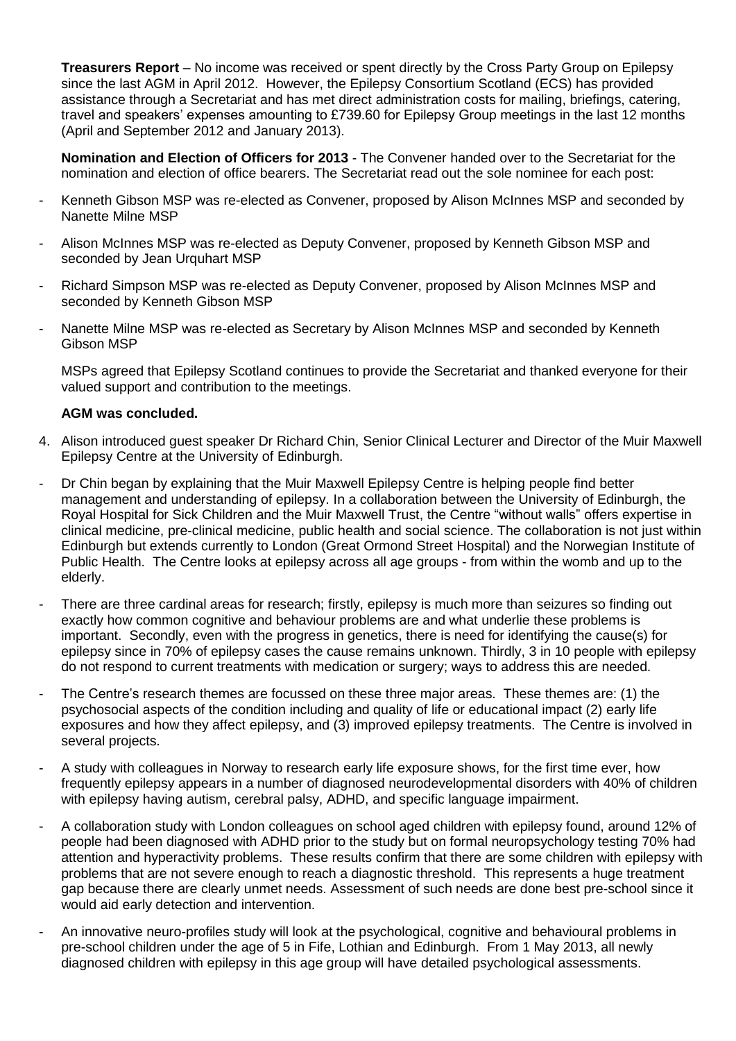**Treasurers Report** – No income was received or spent directly by the Cross Party Group on Epilepsy since the last AGM in April 2012. However, the Epilepsy Consortium Scotland (ECS) has provided assistance through a Secretariat and has met direct administration costs for mailing, briefings, catering, travel and speakers' expenses amounting to £739.60 for Epilepsy Group meetings in the last 12 months (April and September 2012 and January 2013).

**Nomination and Election of Officers for 2013** - The Convener handed over to the Secretariat for the nomination and election of office bearers. The Secretariat read out the sole nominee for each post:

- Kenneth Gibson MSP was re-elected as Convener, proposed by Alison McInnes MSP and seconded by Nanette Milne MSP
- Alison McInnes MSP was re-elected as Deputy Convener, proposed by Kenneth Gibson MSP and seconded by Jean Urquhart MSP
- Richard Simpson MSP was re-elected as Deputy Convener, proposed by Alison McInnes MSP and seconded by Kenneth Gibson MSP
- Nanette Milne MSP was re-elected as Secretary by Alison McInnes MSP and seconded by Kenneth Gibson MSP

MSPs agreed that Epilepsy Scotland continues to provide the Secretariat and thanked everyone for their valued support and contribution to the meetings.

## **AGM was concluded.**

- 4. Alison introduced guest speaker Dr Richard Chin, Senior Clinical Lecturer and Director of the Muir Maxwell Epilepsy Centre at the University of Edinburgh.
- Dr Chin began by explaining that the Muir Maxwell Epilepsy Centre is helping people find better management and understanding of epilepsy. In a collaboration between the University of Edinburgh, the Royal Hospital for Sick Children and the Muir Maxwell Trust, the Centre "without walls" offers expertise in clinical medicine, pre-clinical medicine, public health and social science. The collaboration is not just within Edinburgh but extends currently to London (Great Ormond Street Hospital) and the Norwegian Institute of Public Health. The Centre looks at epilepsy across all age groups - from within the womb and up to the elderly.
- There are three cardinal areas for research; firstly, epilepsy is much more than seizures so finding out exactly how common cognitive and behaviour problems are and what underlie these problems is important. Secondly, even with the progress in genetics, there is need for identifying the cause(s) for epilepsy since in 70% of epilepsy cases the cause remains unknown. Thirdly, 3 in 10 people with epilepsy do not respond to current treatments with medication or surgery; ways to address this are needed.
- The Centre's research themes are focussed on these three major areas. These themes are: (1) the psychosocial aspects of the condition including and quality of life or educational impact (2) early life exposures and how they affect epilepsy, and (3) improved epilepsy treatments. The Centre is involved in several projects.
- A study with colleagues in Norway to research early life exposure shows, for the first time ever, how frequently epilepsy appears in a number of diagnosed neurodevelopmental disorders with 40% of children with epilepsy having autism, cerebral palsy, ADHD, and specific language impairment.
- A collaboration study with London colleagues on school aged children with epilepsy found, around 12% of people had been diagnosed with ADHD prior to the study but on formal neuropsychology testing 70% had attention and hyperactivity problems. These results confirm that there are some children with epilepsy with problems that are not severe enough to reach a diagnostic threshold. This represents a huge treatment gap because there are clearly unmet needs. Assessment of such needs are done best pre-school since it would aid early detection and intervention.
- An innovative neuro-profiles study will look at the psychological, cognitive and behavioural problems in pre-school children under the age of 5 in Fife, Lothian and Edinburgh. From 1 May 2013, all newly diagnosed children with epilepsy in this age group will have detailed psychological assessments.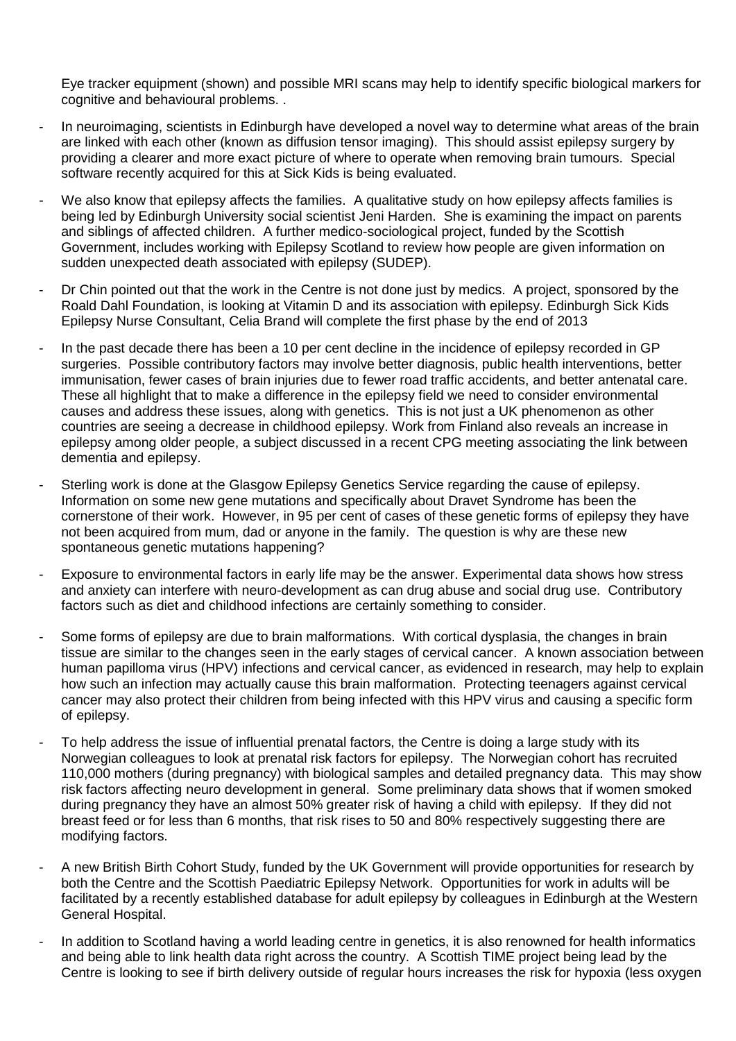Eye tracker equipment (shown) and possible MRI scans may help to identify specific biological markers for cognitive and behavioural problems. .

- In neuroimaging, scientists in Edinburgh have developed a novel way to determine what areas of the brain are linked with each other (known as diffusion tensor imaging). This should assist epilepsy surgery by providing a clearer and more exact picture of where to operate when removing brain tumours. Special software recently acquired for this at Sick Kids is being evaluated.
- We also know that epilepsy affects the families. A qualitative study on how epilepsy affects families is being led by Edinburgh University social scientist Jeni Harden. She is examining the impact on parents and siblings of affected children. A further medico-sociological project, funded by the Scottish Government, includes working with Epilepsy Scotland to review how people are given information on sudden unexpected death associated with epilepsy (SUDEP).
- Dr Chin pointed out that the work in the Centre is not done just by medics. A project, sponsored by the Roald Dahl Foundation, is looking at Vitamin D and its association with epilepsy. Edinburgh Sick Kids Epilepsy Nurse Consultant, Celia Brand will complete the first phase by the end of 2013
- In the past decade there has been a 10 per cent decline in the incidence of epilepsy recorded in GP surgeries. Possible contributory factors may involve better diagnosis, public health interventions, better immunisation, fewer cases of brain injuries due to fewer road traffic accidents, and better antenatal care. These all highlight that to make a difference in the epilepsy field we need to consider environmental causes and address these issues, along with genetics. This is not just a UK phenomenon as other countries are seeing a decrease in childhood epilepsy. Work from Finland also reveals an increase in epilepsy among older people, a subject discussed in a recent CPG meeting associating the link between dementia and epilepsy.
- Sterling work is done at the Glasgow Epilepsy Genetics Service regarding the cause of epilepsy. Information on some new gene mutations and specifically about Dravet Syndrome has been the cornerstone of their work. However, in 95 per cent of cases of these genetic forms of epilepsy they have not been acquired from mum, dad or anyone in the family. The question is why are these new spontaneous genetic mutations happening?
- Exposure to environmental factors in early life may be the answer. Experimental data shows how stress and anxiety can interfere with neuro-development as can drug abuse and social drug use. Contributory factors such as diet and childhood infections are certainly something to consider.
- Some forms of epilepsy are due to brain malformations. With cortical dysplasia, the changes in brain tissue are similar to the changes seen in the early stages of cervical cancer. A known association between human papilloma virus (HPV) infections and cervical cancer, as evidenced in research, may help to explain how such an infection may actually cause this brain malformation. Protecting teenagers against cervical cancer may also protect their children from being infected with this HPV virus and causing a specific form of epilepsy.
- To help address the issue of influential prenatal factors, the Centre is doing a large study with its Norwegian colleagues to look at prenatal risk factors for epilepsy. The Norwegian cohort has recruited 110,000 mothers (during pregnancy) with biological samples and detailed pregnancy data. This may show risk factors affecting neuro development in general. Some preliminary data shows that if women smoked during pregnancy they have an almost 50% greater risk of having a child with epilepsy. If they did not breast feed or for less than 6 months, that risk rises to 50 and 80% respectively suggesting there are modifying factors.
- A new British Birth Cohort Study, funded by the UK Government will provide opportunities for research by both the Centre and the Scottish Paediatric Epilepsy Network. Opportunities for work in adults will be facilitated by a recently established database for adult epilepsy by colleagues in Edinburgh at the Western General Hospital.
- In addition to Scotland having a world leading centre in genetics, it is also renowned for health informatics and being able to link health data right across the country. A Scottish TIME project being lead by the Centre is looking to see if birth delivery outside of regular hours increases the risk for hypoxia (less oxygen